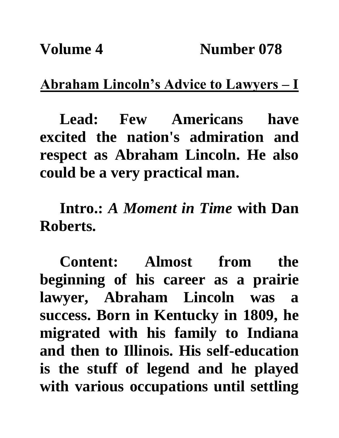## **Abraham Lincoln's Advice to Lawyers – I**

**Lead: Few Americans have excited the nation's admiration and respect as Abraham Lincoln. He also could be a very practical man.** 

**Intro.:** *A Moment in Time* **with Dan Roberts.**

**Content: Almost from the beginning of his career as a prairie lawyer, Abraham Lincoln was a success. Born in Kentucky in 1809, he migrated with his family to Indiana and then to Illinois. His self-education is the stuff of legend and he played with various occupations until settling**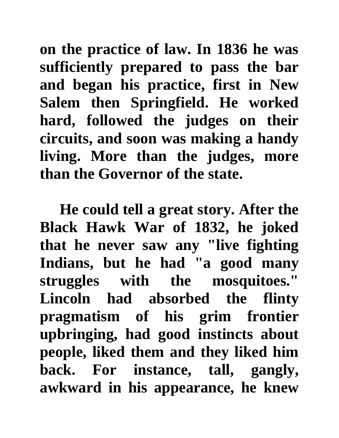**on the practice of law. In 1836 he was sufficiently prepared to pass the bar and began his practice, first in New Salem then Springfield. He worked hard, followed the judges on their circuits, and soon was making a handy living. More than the judges, more than the Governor of the state.** 

**He could tell a great story. After the Black Hawk War of 1832, he joked that he never saw any "live fighting Indians, but he had "a good many struggles with the mosquitoes." Lincoln had absorbed the flinty pragmatism of his grim frontier upbringing, had good instincts about people, liked them and they liked him back. For instance, tall, gangly, awkward in his appearance, he knew**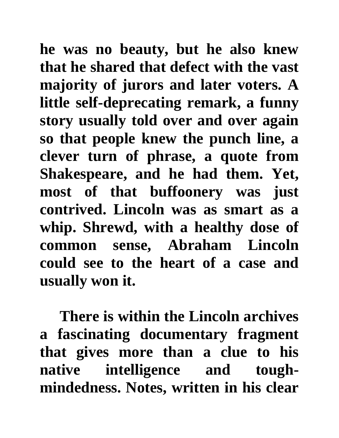**he was no beauty, but he also knew that he shared that defect with the vast majority of jurors and later voters. A little self-deprecating remark, a funny story usually told over and over again so that people knew the punch line, a clever turn of phrase, a quote from Shakespeare, and he had them. Yet, most of that buffoonery was just contrived. Lincoln was as smart as a whip. Shrewd, with a healthy dose of common sense, Abraham Lincoln could see to the heart of a case and usually won it.** 

**There is within the Lincoln archives a fascinating documentary fragment that gives more than a clue to his native intelligence and toughmindedness. Notes, written in his clear**